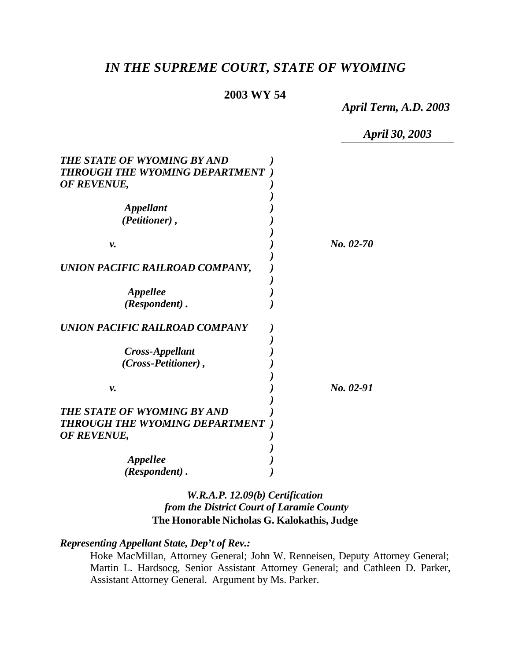# *IN THE SUPREME COURT, STATE OF WYOMING*

### **2003 WY 54**

*April Term, A.D. 2003*

*April 30, 2003*

| THE STATE OF WYOMING BY AND<br>THROUGH THE WYOMING DEPARTMENT                |           |
|------------------------------------------------------------------------------|-----------|
| OF REVENUE,                                                                  |           |
| <i><b>Appellant</b></i><br>(Petitioner),                                     |           |
| ν.                                                                           | No. 02-70 |
| UNION PACIFIC RAILROAD COMPANY,                                              |           |
| Appellee<br>(Respondent).                                                    |           |
| UNION PACIFIC RAILROAD COMPANY                                               |           |
| Cross-Appellant<br>(Cross-Petitioner),                                       |           |
| ν.                                                                           | No. 02-91 |
| THE STATE OF WYOMING BY AND<br>THROUGH THE WYOMING DEPARTMENT<br>OF REVENUE, |           |
| <i><b>Appellee</b></i><br>(Respondent).                                      |           |

## *W.R.A.P. 12.09(b) Certification from the District Court of Laramie County* **The Honorable Nicholas G. Kalokathis, Judge**

*Representing Appellant State, Dep't of Rev.:*

Hoke MacMillan, Attorney General; John W. Renneisen, Deputy Attorney General; Martin L. Hardsocg, Senior Assistant Attorney General; and Cathleen D. Parker, Assistant Attorney General. Argument by Ms. Parker.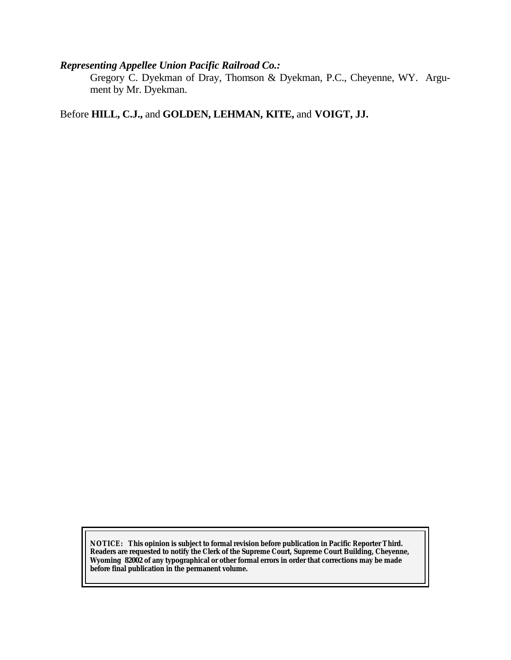## *Representing Appellee Union Pacific Railroad Co.:*

Gregory C. Dyekman of Dray, Thomson & Dyekman, P.C., Cheyenne, WY. Argument by Mr. Dyekman.

Before **HILL, C.J.,** and **GOLDEN, LEHMAN, KITE,** and **VOIGT, JJ.**

**NOTICE:** *This opinion is subject to formal revision before publication in Pacific Reporter Third. Readers are requested to notify the Clerk of the Supreme Court, Supreme Court Building, Cheyenne, Wyoming 82002 of any typographical or other formal errors in order that corrections may be made before final publication in the permanent volume.*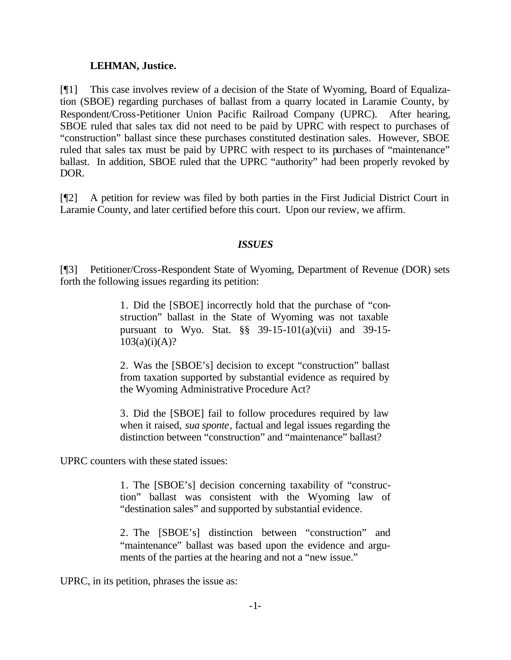### **LEHMAN, Justice.**

[¶1] This case involves review of a decision of the State of Wyoming, Board of Equalization (SBOE) regarding purchases of ballast from a quarry located in Laramie County, by Respondent/Cross-Petitioner Union Pacific Railroad Company (UPRC). After hearing, SBOE ruled that sales tax did not need to be paid by UPRC with respect to purchases of "construction" ballast since these purchases constituted destination sales. However, SBOE ruled that sales tax must be paid by UPRC with respect to its purchases of "maintenance" ballast. In addition, SBOE ruled that the UPRC "authority" had been properly revoked by DOR.

[¶2] A petition for review was filed by both parties in the First Judicial District Court in Laramie County, and later certified before this court. Upon our review, we affirm.

## *ISSUES*

[¶3] Petitioner/Cross-Respondent State of Wyoming, Department of Revenue (DOR) sets forth the following issues regarding its petition:

> 1. Did the [SBOE] incorrectly hold that the purchase of "construction" ballast in the State of Wyoming was not taxable pursuant to Wyo. Stat. §§ 39-15-101(a)(vii) and 39-15-  $103(a)(i)(A)?$

> 2. Was the [SBOE's] decision to except "construction" ballast from taxation supported by substantial evidence as required by the Wyoming Administrative Procedure Act?

> 3. Did the [SBOE] fail to follow procedures required by law when it raised, *sua sponte*, factual and legal issues regarding the distinction between "construction" and "maintenance" ballast?

UPRC counters with these stated issues:

1. The [SBOE's] decision concerning taxability of "construction" ballast was consistent with the Wyoming law of "destination sales" and supported by substantial evidence.

2. The [SBOE's] distinction between "construction" and "maintenance" ballast was based upon the evidence and arguments of the parties at the hearing and not a "new issue."

UPRC, in its petition, phrases the issue as: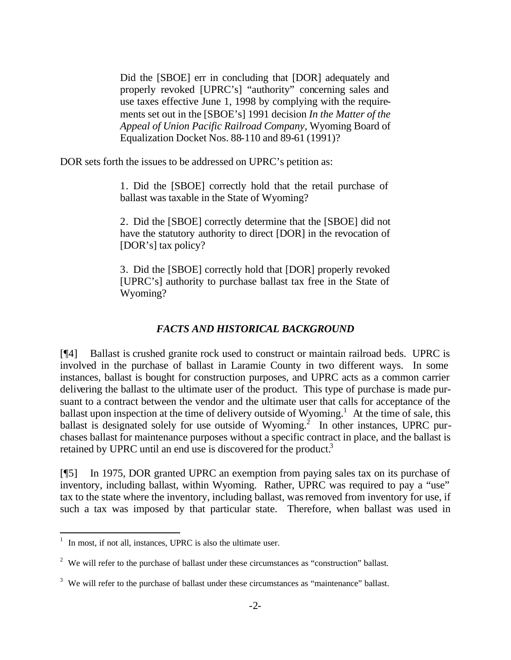Did the [SBOE] err in concluding that [DOR] adequately and properly revoked [UPRC's] "authority" concerning sales and use taxes effective June 1, 1998 by complying with the requirements set out in the [SBOE's] 1991 decision *In the Matter of the Appeal of Union Pacific Railroad Company,* Wyoming Board of Equalization Docket Nos. 88-110 and 89-61 (1991)?

DOR sets forth the issues to be addressed on UPRC's petition as:

1. Did the [SBOE] correctly hold that the retail purchase of ballast was taxable in the State of Wyoming?

2. Did the [SBOE] correctly determine that the [SBOE] did not have the statutory authority to direct [DOR] in the revocation of [DOR's] tax policy?

3. Did the [SBOE] correctly hold that [DOR] properly revoked [UPRC's] authority to purchase ballast tax free in the State of Wyoming?

## *FACTS AND HISTORICAL BACKGROUND*

[¶4] Ballast is crushed granite rock used to construct or maintain railroad beds. UPRC is involved in the purchase of ballast in Laramie County in two different ways. In some instances, ballast is bought for construction purposes, and UPRC acts as a common carrier delivering the ballast to the ultimate user of the product. This type of purchase is made pursuant to a contract between the vendor and the ultimate user that calls for acceptance of the ballast upon inspection at the time of delivery outside of Wyoming.<sup>1</sup> At the time of sale, this ballast is designated solely for use outside of Wyoming.<sup>2</sup> In other instances, UPRC purchases ballast for maintenance purposes without a specific contract in place, and the ballast is retained by UPRC until an end use is discovered for the product.<sup>3</sup>

[¶5] In 1975, DOR granted UPRC an exemption from paying sales tax on its purchase of inventory, including ballast, within Wyoming. Rather, UPRC was required to pay a "use" tax to the state where the inventory, including ballast, was removed from inventory for use, if such a tax was imposed by that particular state. Therefore, when ballast was used in

<sup>&</sup>lt;sup>1</sup> In most, if not all, instances, UPRC is also the ultimate user.

 $2^2$  We will refer to the purchase of ballast under these circumstances as "construction" ballast.

 $3$  We will refer to the purchase of ballast under these circumstances as "maintenance" ballast.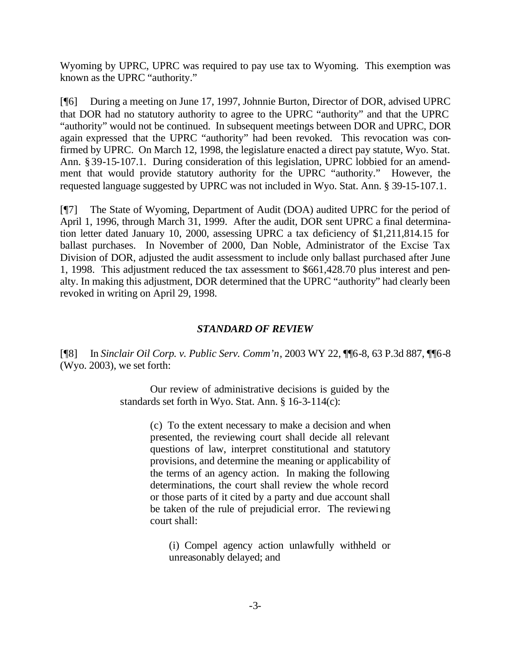Wyoming by UPRC, UPRC was required to pay use tax to Wyoming. This exemption was known as the UPRC "authority."

[¶6] During a meeting on June 17, 1997, Johnnie Burton, Director of DOR, advised UPRC that DOR had no statutory authority to agree to the UPRC "authority" and that the UPRC "authority" would not be continued. In subsequent meetings between DOR and UPRC, DOR again expressed that the UPRC "authority" had been revoked. This revocation was confirmed by UPRC. On March 12, 1998, the legislature enacted a direct pay statute, Wyo. Stat. Ann. §39-15-107.1. During consideration of this legislation, UPRC lobbied for an amendment that would provide statutory authority for the UPRC "authority." However, the requested language suggested by UPRC was not included in Wyo. Stat. Ann. § 39-15-107.1.

[¶7] The State of Wyoming, Department of Audit (DOA) audited UPRC for the period of April 1, 1996, through March 31, 1999. After the audit, DOR sent UPRC a final determination letter dated January 10, 2000, assessing UPRC a tax deficiency of \$1,211,814.15 for ballast purchases. In November of 2000, Dan Noble, Administrator of the Excise Tax Division of DOR, adjusted the audit assessment to include only ballast purchased after June 1, 1998. This adjustment reduced the tax assessment to \$661,428.70 plus interest and penalty. In making this adjustment, DOR determined that the UPRC "authority" had clearly been revoked in writing on April 29, 1998.

### *STANDARD OF REVIEW*

[¶8] In *Sinclair Oil Corp. v. Public Serv. Comm'n*, 2003 WY 22, ¶¶6-8, 63 P.3d 887, ¶¶6-8 (Wyo. 2003), we set forth:

> Our review of administrative decisions is guided by the standards set forth in Wyo. Stat. Ann. § 16-3-114(c):

> > (c) To the extent necessary to make a decision and when presented, the reviewing court shall decide all relevant questions of law, interpret constitutional and statutory provisions, and determine the meaning or applicability of the terms of an agency action. In making the following determinations, the court shall review the whole record or those parts of it cited by a party and due account shall be taken of the rule of prejudicial error. The reviewing court shall:

(i) Compel agency action unlawfully withheld or unreasonably delayed; and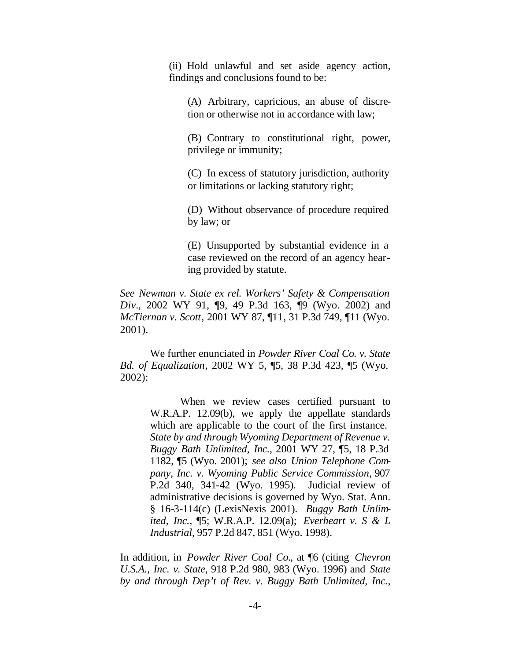(ii) Hold unlawful and set aside agency action, findings and conclusions found to be:

(A) Arbitrary, capricious, an abuse of discretion or otherwise not in accordance with law;

(B) Contrary to constitutional right, power, privilege or immunity;

(C) In excess of statutory jurisdiction, authority or limitations or lacking statutory right;

(D) Without observance of procedure required by law; or

(E) Unsupported by substantial evidence in a case reviewed on the record of an agency hearing provided by statute.

*See Newman v. State ex rel. Workers' Safety & Compensation Div.*, 2002 WY 91, ¶9, 49 P.3d 163, ¶9 (Wyo. 2002) and *McTiernan v. Scott*, 2001 WY 87, ¶11, 31 P.3d 749, ¶11 (Wyo. 2001).

We further enunciated in *Powder River Coal Co. v. State Bd. of Equalization*, 2002 WY 5, ¶5, 38 P.3d 423, ¶5 (Wyo. 2002):

> When we review cases certified pursuant to W.R.A.P. 12.09(b), we apply the appellate standards which are applicable to the court of the first instance. *State by and through Wyoming Department of Revenue v. Buggy Bath Unlimited, Inc.*, 2001 WY 27, ¶5, 18 P.3d 1182, ¶5 (Wyo. 2001); *see also Union Telephone Company, Inc. v. Wyoming Public Service Commission*, 907 P.2d 340, 341-42 (Wyo. 1995). Judicial review of administrative decisions is governed by Wyo. Stat. Ann. § 16-3-114(c) (LexisNexis 2001). *Buggy Bath Unlimited, Inc.*, ¶5; W.R.A.P. 12.09(a); *Everheart v. S & L Industrial*, 957 P.2d 847, 851 (Wyo. 1998).

In addition, in *Powder River Coal Co.*, at ¶6 (citing *Chevron U.S.A., Inc. v. State*, 918 P.2d 980, 983 (Wyo. 1996) and *State by and through Dep't of Rev. v. Buggy Bath Unlimited, Inc.*,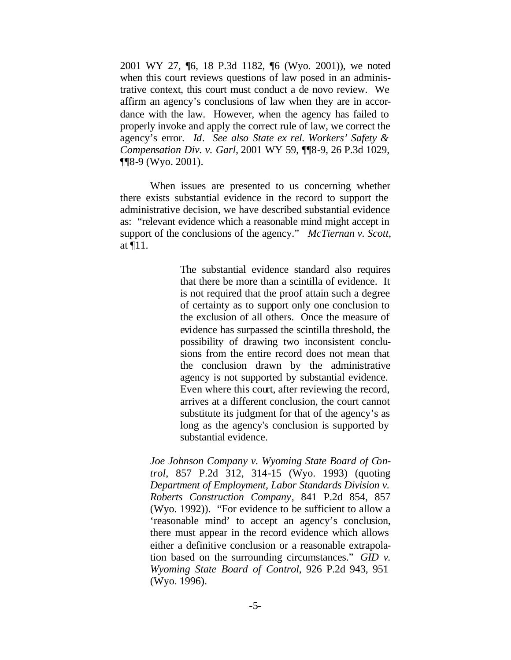2001 WY 27, ¶6, 18 P.3d 1182, ¶6 (Wyo. 2001)), we noted when this court reviews questions of law posed in an administrative context, this court must conduct a de novo review. We affirm an agency's conclusions of law when they are in accordance with the law. However, when the agency has failed to properly invoke and apply the correct rule of law, we correct the agency's error. *Id*. *See also State ex rel. Workers' Safety & Compensation Div. v. Garl,* 2001 WY 59, ¶¶8-9, 26 P.3d 1029, ¶¶8-9 (Wyo. 2001).

When issues are presented to us concerning whether there exists substantial evidence in the record to support the administrative decision, we have described substantial evidence as: "relevant evidence which a reasonable mind might accept in support of the conclusions of the agency." *McTiernan v. Scott*, at ¶11.

> The substantial evidence standard also requires that there be more than a scintilla of evidence. It is not required that the proof attain such a degree of certainty as to support only one conclusion to the exclusion of all others. Once the measure of evidence has surpassed the scintilla threshold, the possibility of drawing two inconsistent conclusions from the entire record does not mean that the conclusion drawn by the administrative agency is not supported by substantial evidence. Even where this court, after reviewing the record, arrives at a different conclusion, the court cannot substitute its judgment for that of the agency's as long as the agency's conclusion is supported by substantial evidence.

*Joe Johnson Company v. Wyoming State Board of Control*, 857 P.2d 312, 314-15 (Wyo. 1993) (quoting *Department of Employment, Labor Standards Division v. Roberts Construction Company*, 841 P.2d 854, 857 (Wyo. 1992)). "For evidence to be sufficient to allow a 'reasonable mind' to accept an agency's conclusion, there must appear in the record evidence which allows either a definitive conclusion or a reasonable extrapolation based on the surrounding circumstances." *GID v. Wyoming State Board of Control*, 926 P.2d 943, 951 (Wyo. 1996).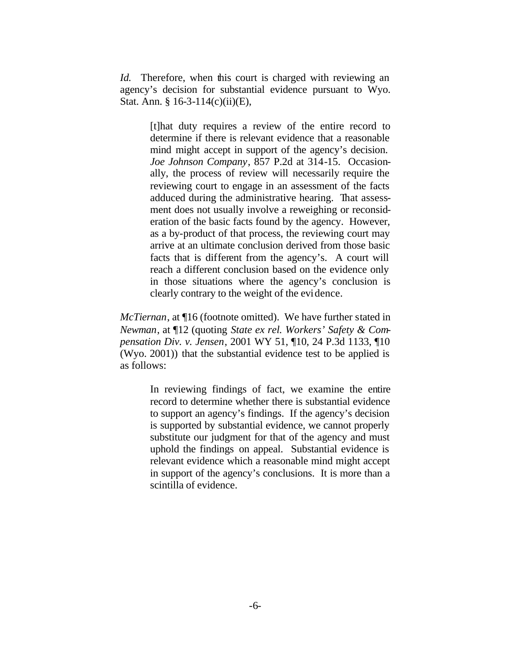*Id.* Therefore, when this court is charged with reviewing an agency's decision for substantial evidence pursuant to Wyo. Stat. Ann. § 16-3-114(c)(ii)(E),

> [t]hat duty requires a review of the entire record to determine if there is relevant evidence that a reasonable mind might accept in support of the agency's decision. *Joe Johnson Company*, 857 P.2d at 314-15. Occasionally, the process of review will necessarily require the reviewing court to engage in an assessment of the facts adduced during the administrative hearing. That assessment does not usually involve a reweighing or reconsideration of the basic facts found by the agency. However, as a by-product of that process, the reviewing court may arrive at an ultimate conclusion derived from those basic facts that is different from the agency's. A court will reach a different conclusion based on the evidence only in those situations where the agency's conclusion is clearly contrary to the weight of the evidence.

*McTiernan*, at ¶16 (footnote omitted). We have further stated in *Newman*, at ¶12 (quoting *State ex rel. Workers' Safety & Compensation Div. v. Jensen*, 2001 WY 51, ¶10, 24 P.3d 1133, ¶10 (Wyo. 2001)) that the substantial evidence test to be applied is as follows:

> In reviewing findings of fact, we examine the entire record to determine whether there is substantial evidence to support an agency's findings. If the agency's decision is supported by substantial evidence, we cannot properly substitute our judgment for that of the agency and must uphold the findings on appeal. Substantial evidence is relevant evidence which a reasonable mind might accept in support of the agency's conclusions. It is more than a scintilla of evidence.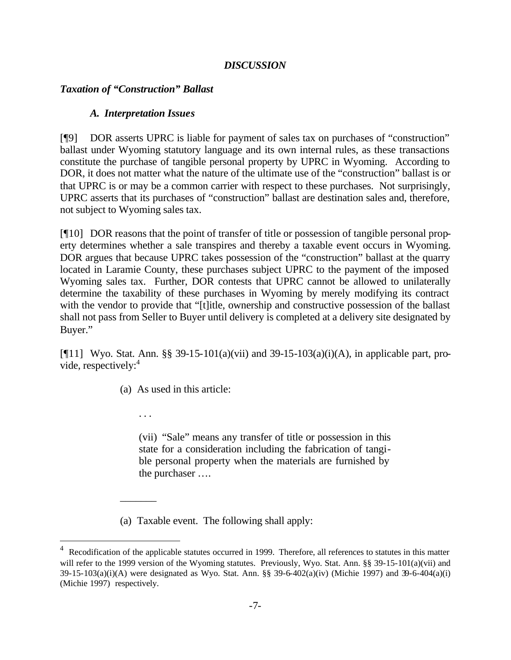### *DISCUSSION*

### *Taxation of "Construction" Ballast*

#### *A. Interpretation Issues*

[¶9] DOR asserts UPRC is liable for payment of sales tax on purchases of "construction" ballast under Wyoming statutory language and its own internal rules, as these transactions constitute the purchase of tangible personal property by UPRC in Wyoming. According to DOR, it does not matter what the nature of the ultimate use of the "construction" ballast is or that UPRC is or may be a common carrier with respect to these purchases. Not surprisingly, UPRC asserts that its purchases of "construction" ballast are destination sales and, therefore, not subject to Wyoming sales tax.

[¶10] DOR reasons that the point of transfer of title or possession of tangible personal property determines whether a sale transpires and thereby a taxable event occurs in Wyoming. DOR argues that because UPRC takes possession of the "construction" ballast at the quarry located in Laramie County, these purchases subject UPRC to the payment of the imposed Wyoming sales tax. Further, DOR contests that UPRC cannot be allowed to unilaterally determine the taxability of these purchases in Wyoming by merely modifying its contract with the vendor to provide that "[t]itle, ownership and constructive possession of the ballast shall not pass from Seller to Buyer until delivery is completed at a delivery site designated by Buyer."

[ $[$ [11] Wyo. Stat. Ann. §§ 39-15-101(a)(vii) and 39-15-103(a)(i)(A), in applicable part, provide, respectively:<sup>4</sup>

(a) As used in this article:

. . .

 $\overline{\phantom{a}}$ 

l

(vii) "Sale" means any transfer of title or possession in this state for a consideration including the fabrication of tangible personal property when the materials are furnished by the purchaser ….

(a) Taxable event. The following shall apply:

<sup>4</sup> Recodification of the applicable statutes occurred in 1999. Therefore, all references to statutes in this matter will refer to the 1999 version of the Wyoming statutes. Previously, Wyo. Stat. Ann. §§ 39-15-101(a)(vii) and 39-15-103(a)(i)(A) were designated as Wyo. Stat. Ann. §§ 39-6-402(a)(iv) (Michie 1997) and 39-6-404(a)(i) (Michie 1997) respectively.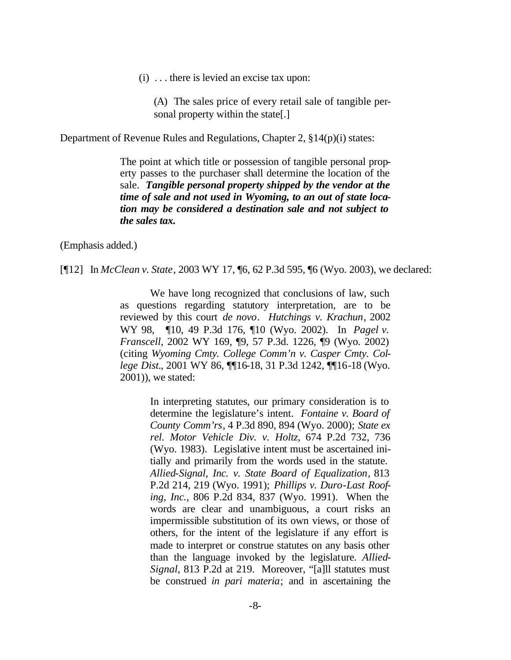(i) . . . there is levied an excise tax upon:

(A) The sales price of every retail sale of tangible personal property within the state[.]

Department of Revenue Rules and Regulations, Chapter 2, §14(p)(i) states:

The point at which title or possession of tangible personal property passes to the purchaser shall determine the location of the sale. *Tangible personal property shipped by the vendor at the time of sale and not used in Wyoming, to an out of state location may be considered a destination sale and not subject to the sales tax.* 

(Emphasis added.)

[¶12] In *McClean v. State*, 2003 WY 17, ¶6, 62 P.3d 595, ¶6 (Wyo. 2003), we declared:

We have long recognized that conclusions of law, such as questions regarding statutory interpretation, are to be reviewed by this court *de novo*. *Hutchings v. Krachun*, 2002 WY 98, ¶10, 49 P.3d 176, ¶10 (Wyo. 2002). In *Pagel v. Franscell*, 2002 WY 169, ¶9, 57 P.3d. 1226, ¶9 (Wyo. 2002) (citing *Wyoming Cmty. College Comm'n v. Casper Cmty. College Dist.*, 2001 WY 86, ¶¶16-18, 31 P.3d 1242, ¶¶16-18 (Wyo. 2001)), we stated:

> In interpreting statutes, our primary consideration is to determine the legislature's intent. *Fontaine v. Board of County Comm'rs*, 4 P.3d 890, 894 (Wyo. 2000); *State ex rel. Motor Vehicle Div. v. Holtz*, 674 P.2d 732, 736 (Wyo. 1983). Legislative intent must be ascertained initially and primarily from the words used in the statute. *Allied-Signal, Inc. v. State Board of Equalization*, 813 P.2d 214, 219 (Wyo. 1991); *Phillips v. Duro-Last Roofing, Inc.*, 806 P.2d 834, 837 (Wyo. 1991). When the words are clear and unambiguous, a court risks an impermissible substitution of its own views, or those of others, for the intent of the legislature if any effort is made to interpret or construe statutes on any basis other than the language invoked by the legislature. *Allied-Signal*, 813 P.2d at 219. Moreover, "[a]ll statutes must be construed *in pari materia*; and in ascertaining the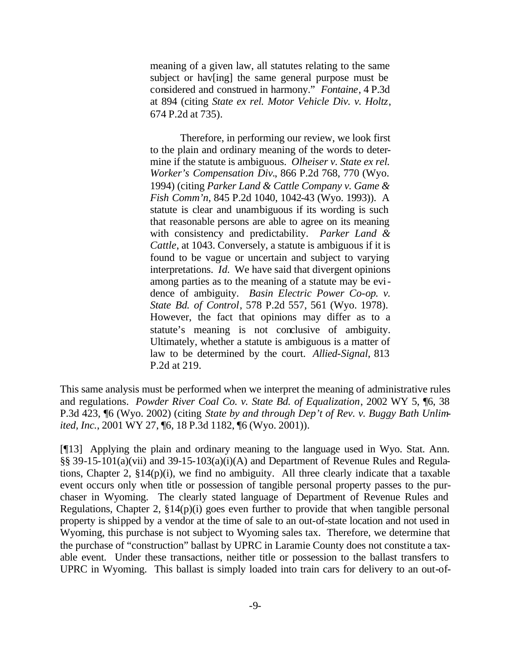meaning of a given law, all statutes relating to the same subject or hav[ing] the same general purpose must be considered and construed in harmony." *Fontaine*, 4 P.3d at 894 (citing *State ex rel. Motor Vehicle Div. v. Holtz*, 674 P.2d at 735).

Therefore, in performing our review, we look first to the plain and ordinary meaning of the words to determine if the statute is ambiguous. *Olheiser v. State ex rel. Worker's Compensation Div.*, 866 P.2d 768, 770 (Wyo. 1994) (citing *Parker Land & Cattle Company v. Game & Fish Comm'n*, 845 P.2d 1040, 1042-43 (Wyo. 1993)). A statute is clear and unambiguous if its wording is such that reasonable persons are able to agree on its meaning with consistency and predictability. *Parker Land & Cattle*, at 1043. Conversely, a statute is ambiguous if it is found to be vague or uncertain and subject to varying interpretations. *Id.* We have said that divergent opinions among parties as to the meaning of a statute may be evidence of ambiguity. *Basin Electric Power Co-op. v. State Bd. of Control*, 578 P.2d 557, 561 (Wyo. 1978). However, the fact that opinions may differ as to a statute's meaning is not conclusive of ambiguity. Ultimately, whether a statute is ambiguous is a matter of law to be determined by the court. *Allied-Signal*, 813 P.2d at 219.

This same analysis must be performed when we interpret the meaning of administrative rules and regulations. *Powder River Coal Co. v. State Bd. of Equalization*, 2002 WY 5, ¶6, 38 P.3d 423, ¶6 (Wyo. 2002) (citing *State by and through Dep't of Rev. v. Buggy Bath Unlimited, Inc.*, 2001 WY 27, ¶6, 18 P.3d 1182, ¶6 (Wyo. 2001)).

[¶13] Applying the plain and ordinary meaning to the language used in Wyo. Stat. Ann. §§ 39-15-101(a)(vii) and 39-15-103(a)(i)(A) and Department of Revenue Rules and Regulations, Chapter 2,  $\S 14(p)(i)$ , we find no ambiguity. All three clearly indicate that a taxable event occurs only when title or possession of tangible personal property passes to the purchaser in Wyoming. The clearly stated language of Department of Revenue Rules and Regulations, Chapter 2, §14(p)(i) goes even further to provide that when tangible personal property is shipped by a vendor at the time of sale to an out-of-state location and not used in Wyoming, this purchase is not subject to Wyoming sales tax. Therefore, we determine that the purchase of "construction" ballast by UPRC in Laramie County does not constitute a taxable event. Under these transactions, neither title or possession to the ballast transfers to UPRC in Wyoming. This ballast is simply loaded into train cars for delivery to an out-of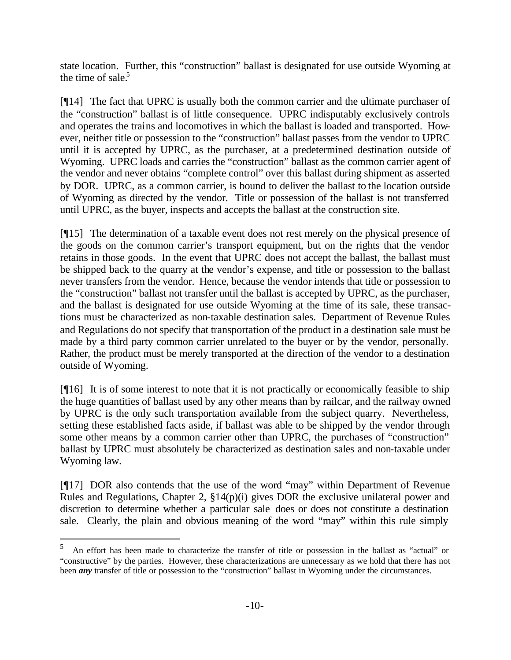state location. Further, this "construction" ballast is designated for use outside Wyoming at the time of sale. $5$ 

[¶14] The fact that UPRC is usually both the common carrier and the ultimate purchaser of the "construction" ballast is of little consequence. UPRC indisputably exclusively controls and operates the trains and locomotives in which the ballast is loaded and transported. However, neither title or possession to the "construction" ballast passes from the vendor to UPRC until it is accepted by UPRC, as the purchaser, at a predetermined destination outside of Wyoming. UPRC loads and carries the "construction" ballast as the common carrier agent of the vendor and never obtains "complete control" over this ballast during shipment as asserted by DOR. UPRC, as a common carrier, is bound to deliver the ballast to the location outside of Wyoming as directed by the vendor. Title or possession of the ballast is not transferred until UPRC, as the buyer, inspects and accepts the ballast at the construction site.

[¶15] The determination of a taxable event does not rest merely on the physical presence of the goods on the common carrier's transport equipment, but on the rights that the vendor retains in those goods. In the event that UPRC does not accept the ballast, the ballast must be shipped back to the quarry at the vendor's expense, and title or possession to the ballast never transfers from the vendor. Hence, because the vendor intends that title or possession to the "construction" ballast not transfer until the ballast is accepted by UPRC, as the purchaser, and the ballast is designated for use outside Wyoming at the time of its sale, these transactions must be characterized as non-taxable destination sales. Department of Revenue Rules and Regulations do not specify that transportation of the product in a destination sale must be made by a third party common carrier unrelated to the buyer or by the vendor, personally. Rather, the product must be merely transported at the direction of the vendor to a destination outside of Wyoming.

[¶16] It is of some interest to note that it is not practically or economically feasible to ship the huge quantities of ballast used by any other means than by railcar, and the railway owned by UPRC is the only such transportation available from the subject quarry. Nevertheless, setting these established facts aside, if ballast was able to be shipped by the vendor through some other means by a common carrier other than UPRC, the purchases of "construction" ballast by UPRC must absolutely be characterized as destination sales and non-taxable under Wyoming law.

[¶17] DOR also contends that the use of the word "may" within Department of Revenue Rules and Regulations, Chapter 2, §14(p)(i) gives DOR the exclusive unilateral power and discretion to determine whether a particular sale does or does not constitute a destination sale. Clearly, the plain and obvious meaning of the word "may" within this rule simply

l

<sup>5</sup> An effort has been made to characterize the transfer of title or possession in the ballast as "actual" or "constructive" by the parties. However, these characterizations are unnecessary as we hold that there has not been *any* transfer of title or possession to the "construction" ballast in Wyoming under the circumstances.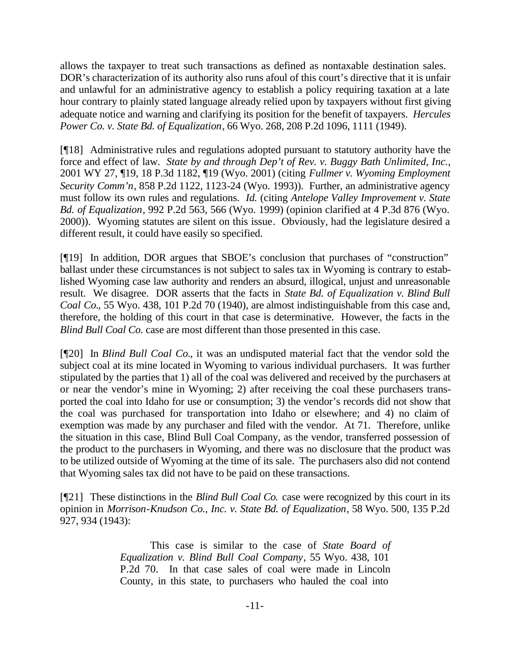allows the taxpayer to treat such transactions as defined as nontaxable destination sales. DOR's characterization of its authority also runs afoul of this court's directive that it is unfair and unlawful for an administrative agency to establish a policy requiring taxation at a late hour contrary to plainly stated language already relied upon by taxpayers without first giving adequate notice and warning and clarifying its position for the benefit of taxpayers. *Hercules Power Co. v. State Bd. of Equalization*, 66 Wyo. 268, 208 P.2d 1096, 1111 (1949).

[¶18] Administrative rules and regulations adopted pursuant to statutory authority have the force and effect of law. *State by and through Dep't of Rev. v. Buggy Bath Unlimited, Inc.*, 2001 WY 27, ¶19, 18 P.3d 1182, ¶19 (Wyo. 2001) (citing *Fullmer v. Wyoming Employment Security Comm'n*, 858 P.2d 1122, 1123-24 (Wyo. 1993)). Further, an administrative agency must follow its own rules and regulations. *Id.* (citing *Antelope Valley Improvement v. State Bd. of Equalization*, 992 P.2d 563, 566 (Wyo. 1999) (opinion clarified at 4 P.3d 876 (Wyo. 2000)). Wyoming statutes are silent on this issue. Obviously, had the legislature desired a different result, it could have easily so specified.

[¶19] In addition, DOR argues that SBOE's conclusion that purchases of "construction" ballast under these circumstances is not subject to sales tax in Wyoming is contrary to established Wyoming case law authority and renders an absurd, illogical, unjust and unreasonable result. We disagree. DOR asserts that the facts in *State Bd. of Equalization v. Blind Bull Coal Co.*, 55 Wyo. 438, 101 P.2d 70 (1940), are almost indistinguishable from this case and, therefore, the holding of this court in that case is determinative. However, the facts in the *Blind Bull Coal Co.* case are most different than those presented in this case.

[¶20] In *Blind Bull Coal Co.*, it was an undisputed material fact that the vendor sold the subject coal at its mine located in Wyoming to various individual purchasers. It was further stipulated by the parties that 1) all of the coal was delivered and received by the purchasers at or near the vendor's mine in Wyoming; 2) after receiving the coal these purchasers transported the coal into Idaho for use or consumption; 3) the vendor's records did not show that the coal was purchased for transportation into Idaho or elsewhere; and 4) no claim of exemption was made by any purchaser and filed with the vendor. At 71. Therefore, unlike the situation in this case, Blind Bull Coal Company, as the vendor, transferred possession of the product to the purchasers in Wyoming, and there was no disclosure that the product was to be utilized outside of Wyoming at the time of its sale. The purchasers also did not contend that Wyoming sales tax did not have to be paid on these transactions.

[¶21] These distinctions in the *Blind Bull Coal Co.* case were recognized by this court in its opinion in *Morrison-Knudson Co., Inc. v. State Bd. of Equalization*, 58 Wyo. 500, 135 P.2d 927, 934 (1943):

> This case is similar to the case of *State Board of Equalization v. Blind Bull Coal Company*, 55 Wyo. 438, 101 P.2d 70. In that case sales of coal were made in Lincoln County, in this state, to purchasers who hauled the coal into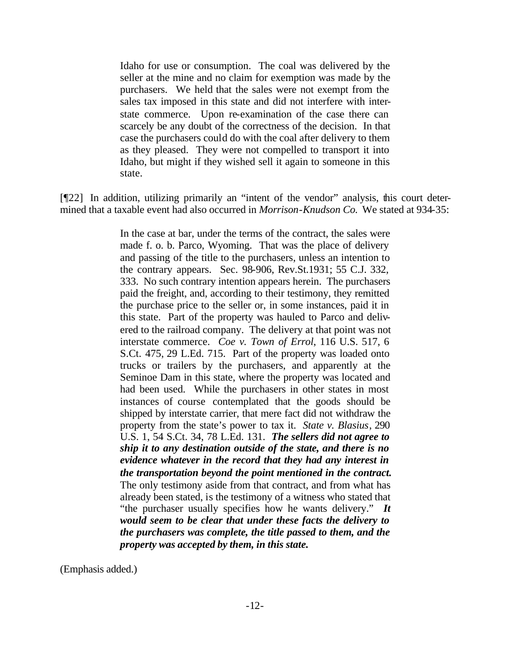Idaho for use or consumption. The coal was delivered by the seller at the mine and no claim for exemption was made by the purchasers. We held that the sales were not exempt from the sales tax imposed in this state and did not interfere with interstate commerce. Upon re-examination of the case there can scarcely be any doubt of the correctness of the decision. In that case the purchasers could do with the coal after delivery to them as they pleased. They were not compelled to transport it into Idaho, but might if they wished sell it again to someone in this state.

[¶22] In addition, utilizing primarily an "intent of the vendor" analysis, this court determined that a taxable event had also occurred in *Morrison-Knudson Co.* We stated at 934-35:

> In the case at bar, under the terms of the contract, the sales were made f. o. b. Parco, Wyoming. That was the place of delivery and passing of the title to the purchasers, unless an intention to the contrary appears. Sec. 98-906, Rev.St.1931; 55 C.J. 332, 333. No such contrary intention appears herein. The purchasers paid the freight, and, according to their testimony, they remitted the purchase price to the seller or, in some instances, paid it in this state. Part of the property was hauled to Parco and delivered to the railroad company. The delivery at that point was not interstate commerce. *Coe v. Town of Errol*, 116 U.S. 517, 6 S.Ct. 475, 29 L.Ed. 715. Part of the property was loaded onto trucks or trailers by the purchasers, and apparently at the Seminoe Dam in this state, where the property was located and had been used. While the purchasers in other states in most instances of course contemplated that the goods should be shipped by interstate carrier, that mere fact did not withdraw the property from the state's power to tax it. *State v. Blasius*, 290 U.S. 1, 54 S.Ct. 34, 78 L.Ed. 131. *The sellers did not agree to ship it to any destination outside of the state, and there is no evidence whatever in the record that they had any interest in the transportation beyond the point mentioned in the contract.* The only testimony aside from that contract, and from what has already been stated, is the testimony of a witness who stated that "the purchaser usually specifies how he wants delivery." *It would seem to be clear that under these facts the delivery to the purchasers was complete, the title passed to them, and the property was accepted by them, in this state.*

(Emphasis added.)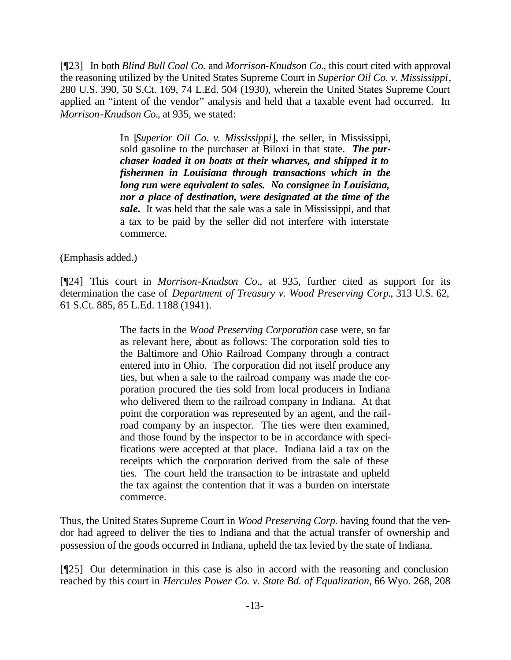[¶23] In both *Blind Bull Coal Co.* and *Morrison-Knudson Co.*, this court cited with approval the reasoning utilized by the United States Supreme Court in *Superior Oil Co. v. Mississippi*, 280 U.S. 390, 50 S.Ct. 169, 74 L.Ed. 504 (1930), wherein the United States Supreme Court applied an "intent of the vendor" analysis and held that a taxable event had occurred. In *Morrison-Knudson Co.*, at 935, we stated:

> In [*Superior Oil Co. v. Mississippi*], the seller, in Mississippi, sold gasoline to the purchaser at Biloxi in that state. *The purchaser loaded it on boats at their wharves, and shipped it to fishermen in Louisiana through transactions which in the long run were equivalent to sales. No consignee in Louisiana, nor a place of destination, were designated at the time of the sale.* It was held that the sale was a sale in Mississippi, and that a tax to be paid by the seller did not interfere with interstate commerce.

(Emphasis added.)

[¶24] This court in *Morrison-Knudson Co.*, at 935, further cited as support for its determination the case of *Department of Treasury v. Wood Preserving Corp.*, 313 U.S. 62, 61 S.Ct. 885, 85 L.Ed. 1188 (1941).

> The facts in the *Wood Preserving Corporation* case were, so far as relevant here, about as follows: The corporation sold ties to the Baltimore and Ohio Railroad Company through a contract entered into in Ohio. The corporation did not itself produce any ties, but when a sale to the railroad company was made the corporation procured the ties sold from local producers in Indiana who delivered them to the railroad company in Indiana. At that point the corporation was represented by an agent, and the railroad company by an inspector. The ties were then examined, and those found by the inspector to be in accordance with specifications were accepted at that place. Indiana laid a tax on the receipts which the corporation derived from the sale of these ties. The court held the transaction to be intrastate and upheld the tax against the contention that it was a burden on interstate commerce.

Thus, the United States Supreme Court in *Wood Preserving Corp.* having found that the vendor had agreed to deliver the ties to Indiana and that the actual transfer of ownership and possession of the goods occurred in Indiana, upheld the tax levied by the state of Indiana.

[¶25] Our determination in this case is also in accord with the reasoning and conclusion reached by this court in *Hercules Power Co. v. State Bd. of Equalization*, 66 Wyo. 268, 208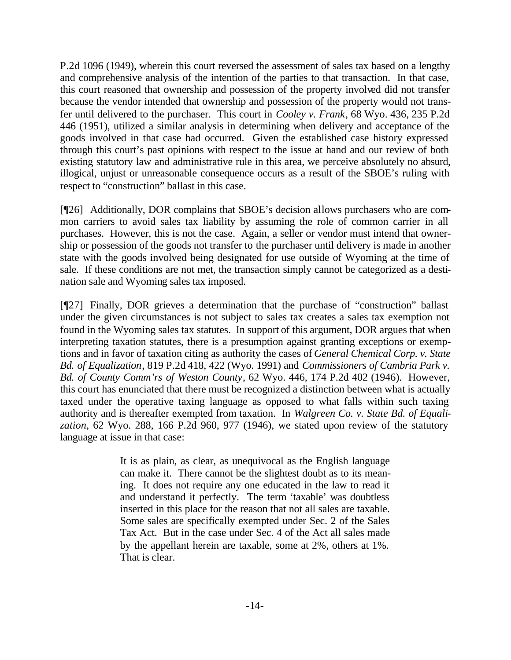P.2d 1096 (1949), wherein this court reversed the assessment of sales tax based on a lengthy and comprehensive analysis of the intention of the parties to that transaction. In that case, this court reasoned that ownership and possession of the property involved did not transfer because the vendor intended that ownership and possession of the property would not transfer until delivered to the purchaser. This court in *Cooley v. Frank*, 68 Wyo. 436, 235 P.2d 446 (1951), utilized a similar analysis in determining when delivery and acceptance of the goods involved in that case had occurred. Given the established case history expressed through this court's past opinions with respect to the issue at hand and our review of both existing statutory law and administrative rule in this area, we perceive absolutely no absurd, illogical, unjust or unreasonable consequence occurs as a result of the SBOE's ruling with respect to "construction" ballast in this case.

[¶26] Additionally, DOR complains that SBOE's decision allows purchasers who are common carriers to avoid sales tax liability by assuming the role of common carrier in all purchases. However, this is not the case. Again, a seller or vendor must intend that ownership or possession of the goods not transfer to the purchaser until delivery is made in another state with the goods involved being designated for use outside of Wyoming at the time of sale. If these conditions are not met, the transaction simply cannot be categorized as a destination sale and Wyoming sales tax imposed.

[¶27] Finally, DOR grieves a determination that the purchase of "construction" ballast under the given circumstances is not subject to sales tax creates a sales tax exemption not found in the Wyoming sales tax statutes. In support of this argument, DOR argues that when interpreting taxation statutes, there is a presumption against granting exceptions or exemptions and in favor of taxation citing as authority the cases of *General Chemical Corp. v. State Bd. of Equalization*, 819 P.2d 418, 422 (Wyo. 1991) and *Commissioners of Cambria Park v. Bd. of County Comm'rs of Weston County*, 62 Wyo. 446, 174 P.2d 402 (1946). However, this court has enunciated that there must be recognized a distinction between what is actually taxed under the operative taxing language as opposed to what falls within such taxing authority and is thereafter exempted from taxation. In *Walgreen Co. v. State Bd. of Equalization*, 62 Wyo. 288, 166 P.2d 960, 977 (1946), we stated upon review of the statutory language at issue in that case:

> It is as plain, as clear, as unequivocal as the English language can make it. There cannot be the slightest doubt as to its meaning. It does not require any one educated in the law to read it and understand it perfectly. The term 'taxable' was doubtless inserted in this place for the reason that not all sales are taxable. Some sales are specifically exempted under Sec. 2 of the Sales Tax Act. But in the case under Sec. 4 of the Act all sales made by the appellant herein are taxable, some at 2%, others at 1%. That is clear.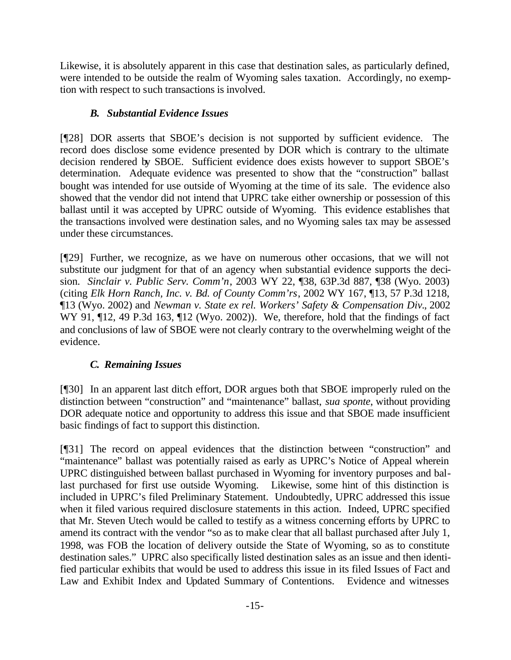Likewise, it is absolutely apparent in this case that destination sales, as particularly defined, were intended to be outside the realm of Wyoming sales taxation. Accordingly, no exemption with respect to such transactions is involved.

# *B. Substantial Evidence Issues*

[¶28] DOR asserts that SBOE's decision is not supported by sufficient evidence. The record does disclose some evidence presented by DOR which is contrary to the ultimate decision rendered by SBOE. Sufficient evidence does exists however to support SBOE's determination. Adequate evidence was presented to show that the "construction" ballast bought was intended for use outside of Wyoming at the time of its sale. The evidence also showed that the vendor did not intend that UPRC take either ownership or possession of this ballast until it was accepted by UPRC outside of Wyoming. This evidence establishes that the transactions involved were destination sales, and no Wyoming sales tax may be assessed under these circumstances.

[¶29] Further, we recognize, as we have on numerous other occasions, that we will not substitute our judgment for that of an agency when substantial evidence supports the decision. *Sinclair v. Public Serv. Comm'n*, 2003 WY 22, ¶38, 63P.3d 887, ¶38 (Wyo. 2003) (citing *Elk Horn Ranch, Inc. v. Bd. of County Comm'rs*, 2002 WY 167, ¶13, 57 P.3d 1218, ¶13 (Wyo. 2002) and *Newman v. State ex rel. Workers' Safety & Compensation Div.*, 2002 WY 91,  $\P$ 12, 49 P.3d 163,  $\P$ 12 (Wyo. 2002)). We, therefore, hold that the findings of fact and conclusions of law of SBOE were not clearly contrary to the overwhelming weight of the evidence.

# *C. Remaining Issues*

[¶30] In an apparent last ditch effort, DOR argues both that SBOE improperly ruled on the distinction between "construction" and "maintenance" ballast, *sua sponte*, without providing DOR adequate notice and opportunity to address this issue and that SBOE made insufficient basic findings of fact to support this distinction.

[¶31] The record on appeal evidences that the distinction between "construction" and "maintenance" ballast was potentially raised as early as UPRC's Notice of Appeal wherein UPRC distinguished between ballast purchased in Wyoming for inventory purposes and ballast purchased for first use outside Wyoming. Likewise, some hint of this distinction is included in UPRC's filed Preliminary Statement. Undoubtedly, UPRC addressed this issue when it filed various required disclosure statements in this action. Indeed, UPRC specified that Mr. Steven Utech would be called to testify as a witness concerning efforts by UPRC to amend its contract with the vendor "so as to make clear that all ballast purchased after July 1, 1998, was FOB the location of delivery outside the State of Wyoming, so as to constitute destination sales." UPRC also specifically listed destination sales as an issue and then identified particular exhibits that would be used to address this issue in its filed Issues of Fact and Law and Exhibit Index and Updated Summary of Contentions. Evidence and witnesses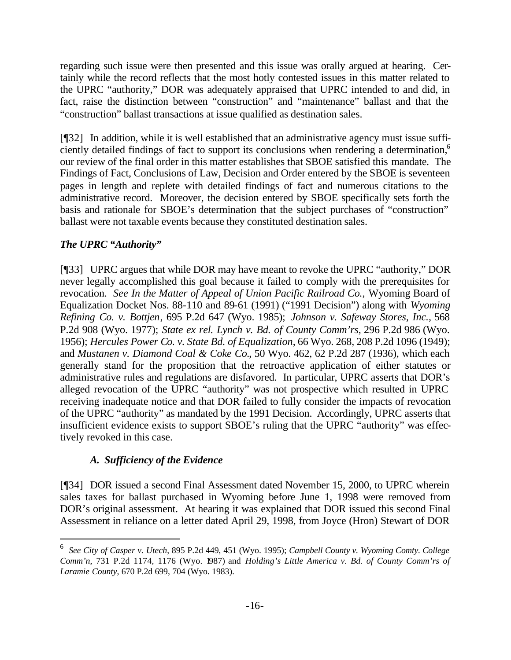regarding such issue were then presented and this issue was orally argued at hearing. Certainly while the record reflects that the most hotly contested issues in this matter related to the UPRC "authority," DOR was adequately appraised that UPRC intended to and did, in fact, raise the distinction between "construction" and "maintenance" ballast and that the "construction" ballast transactions at issue qualified as destination sales.

[¶32] In addition, while it is well established that an administrative agency must issue sufficiently detailed findings of fact to support its conclusions when rendering a determination,<sup>6</sup> our review of the final order in this matter establishes that SBOE satisfied this mandate. The Findings of Fact, Conclusions of Law, Decision and Order entered by the SBOE is seventeen pages in length and replete with detailed findings of fact and numerous citations to the administrative record. Moreover, the decision entered by SBOE specifically sets forth the basis and rationale for SBOE's determination that the subject purchases of "construction" ballast were not taxable events because they constituted destination sales.

## *The UPRC "Authority"*

l

[¶33] UPRC argues that while DOR may have meant to revoke the UPRC "authority," DOR never legally accomplished this goal because it failed to comply with the prerequisites for revocation. *See In the Matter of Appeal of Union Pacific Railroad Co.,* Wyoming Board of Equalization Docket Nos. 88-110 and 89-61 (1991) ("1991 Decision") along with *Wyoming Refining Co. v. Bottjen*, 695 P.2d 647 (Wyo. 1985); *Johnson v. Safeway Stores, Inc.*, 568 P.2d 908 (Wyo. 1977); *State ex rel. Lynch v. Bd. of County Comm'rs*, 296 P.2d 986 (Wyo. 1956); *Hercules Power Co. v. State Bd. of Equalization*, 66 Wyo. 268, 208 P.2d 1096 (1949); and *Mustanen v. Diamond Coal & Coke Co.*, 50 Wyo. 462, 62 P.2d 287 (1936), which each generally stand for the proposition that the retroactive application of either statutes or administrative rules and regulations are disfavored. In particular, UPRC asserts that DOR's alleged revocation of the UPRC "authority" was not prospective which resulted in UPRC receiving inadequate notice and that DOR failed to fully consider the impacts of revocation of the UPRC "authority" as mandated by the 1991 Decision. Accordingly, UPRC asserts that insufficient evidence exists to support SBOE's ruling that the UPRC "authority" was effectively revoked in this case.

## *A. Sufficiency of the Evidence*

[¶34] DOR issued a second Final Assessment dated November 15, 2000, to UPRC wherein sales taxes for ballast purchased in Wyoming before June 1, 1998 were removed from DOR's original assessment. At hearing it was explained that DOR issued this second Final Assessment in reliance on a letter dated April 29, 1998, from Joyce (Hron) Stewart of DOR

<sup>6</sup> *See City of Casper v. Utech*, 895 P.2d 449, 451 (Wyo. 1995); *Campbell County v. Wyoming Comty. College Comm'n*, 731 P.2d 1174, 1176 (Wyo. 1987) and *Holding's Little America v. Bd. of County Comm'rs of Laramie County*, 670 P.2d 699, 704 (Wyo. 1983).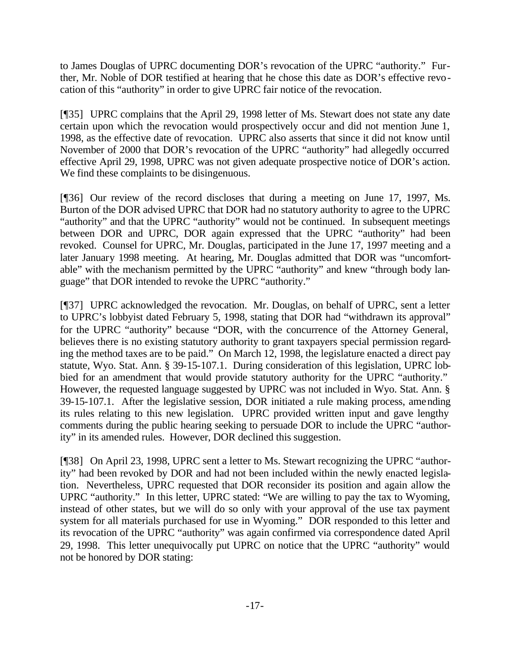to James Douglas of UPRC documenting DOR's revocation of the UPRC "authority." Further, Mr. Noble of DOR testified at hearing that he chose this date as DOR's effective revocation of this "authority" in order to give UPRC fair notice of the revocation.

[¶35] UPRC complains that the April 29, 1998 letter of Ms. Stewart does not state any date certain upon which the revocation would prospectively occur and did not mention June 1, 1998, as the effective date of revocation. UPRC also asserts that since it did not know until November of 2000 that DOR's revocation of the UPRC "authority" had allegedly occurred effective April 29, 1998, UPRC was not given adequate prospective notice of DOR's action. We find these complaints to be disingenuous.

[¶36] Our review of the record discloses that during a meeting on June 17, 1997, Ms. Burton of the DOR advised UPRC that DOR had no statutory authority to agree to the UPRC "authority" and that the UPRC "authority" would not be continued. In subsequent meetings between DOR and UPRC, DOR again expressed that the UPRC "authority" had been revoked. Counsel for UPRC, Mr. Douglas, participated in the June 17, 1997 meeting and a later January 1998 meeting. At hearing, Mr. Douglas admitted that DOR was "uncomfortable" with the mechanism permitted by the UPRC "authority" and knew "through body language" that DOR intended to revoke the UPRC "authority."

[¶37] UPRC acknowledged the revocation. Mr. Douglas, on behalf of UPRC, sent a letter to UPRC's lobbyist dated February 5, 1998, stating that DOR had "withdrawn its approval" for the UPRC "authority" because "DOR, with the concurrence of the Attorney General, believes there is no existing statutory authority to grant taxpayers special permission regarding the method taxes are to be paid." On March 12, 1998, the legislature enacted a direct pay statute, Wyo. Stat. Ann. § 39-15-107.1. During consideration of this legislation, UPRC lobbied for an amendment that would provide statutory authority for the UPRC "authority." However, the requested language suggested by UPRC was not included in Wyo. Stat. Ann. § 39-15-107.1. After the legislative session, DOR initiated a rule making process, amending its rules relating to this new legislation. UPRC provided written input and gave lengthy comments during the public hearing seeking to persuade DOR to include the UPRC "authority" in its amended rules. However, DOR declined this suggestion.

[¶38] On April 23, 1998, UPRC sent a letter to Ms. Stewart recognizing the UPRC "authority" had been revoked by DOR and had not been included within the newly enacted legislation. Nevertheless, UPRC requested that DOR reconsider its position and again allow the UPRC "authority." In this letter, UPRC stated: "We are willing to pay the tax to Wyoming, instead of other states, but we will do so only with your approval of the use tax payment system for all materials purchased for use in Wyoming." DOR responded to this letter and its revocation of the UPRC "authority" was again confirmed via correspondence dated April 29, 1998. This letter unequivocally put UPRC on notice that the UPRC "authority" would not be honored by DOR stating: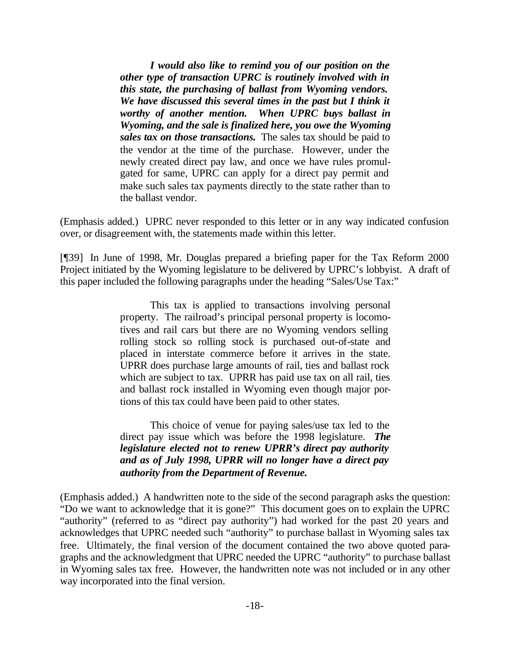*I would also like to remind you of our position on the other type of transaction UPRC is routinely involved with in this state, the purchasing of ballast from Wyoming vendors.*  We have discussed this several times in the past but I think it *worthy of another mention. When UPRC buys ballast in Wyoming, and the sale is finalized here, you owe the Wyoming sales tax on those transactions.* The sales tax should be paid to the vendor at the time of the purchase. However, under the newly created direct pay law, and once we have rules promulgated for same, UPRC can apply for a direct pay permit and make such sales tax payments directly to the state rather than to the ballast vendor.

(Emphasis added.) UPRC never responded to this letter or in any way indicated confusion over, or disagreement with, the statements made within this letter.

[¶39] In June of 1998, Mr. Douglas prepared a briefing paper for the Tax Reform 2000 Project initiated by the Wyoming legislature to be delivered by UPRC's lobbyist. A draft of this paper included the following paragraphs under the heading "Sales/Use Tax:"

> This tax is applied to transactions involving personal property. The railroad's principal personal property is locomotives and rail cars but there are no Wyoming vendors selling rolling stock so rolling stock is purchased out-of-state and placed in interstate commerce before it arrives in the state. UPRR does purchase large amounts of rail, ties and ballast rock which are subject to tax. UPRR has paid use tax on all rail, ties and ballast rock installed in Wyoming even though major portions of this tax could have been paid to other states.

> This choice of venue for paying sales/use tax led to the direct pay issue which was before the 1998 legislature. *The legislature elected not to renew UPRR's direct pay authority and as of July 1998, UPRR will no longer have a direct pay authority from the Department of Revenue.*

(Emphasis added.) A handwritten note to the side of the second paragraph asks the question: "Do we want to acknowledge that it is gone?" This document goes on to explain the UPRC "authority" (referred to as "direct pay authority") had worked for the past 20 years and acknowledges that UPRC needed such "authority" to purchase ballast in Wyoming sales tax free. Ultimately, the final version of the document contained the two above quoted paragraphs and the acknowledgment that UPRC needed the UPRC "authority" to purchase ballast in Wyoming sales tax free. However, the handwritten note was not included or in any other way incorporated into the final version.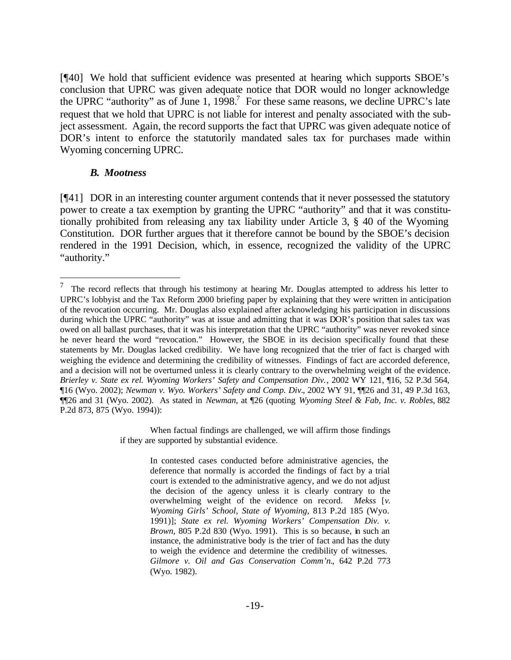[¶40] We hold that sufficient evidence was presented at hearing which supports SBOE's conclusion that UPRC was given adequate notice that DOR would no longer acknowledge the UPRC "authority" as of June 1, 1998.<sup>7</sup> For these same reasons, we decline UPRC's late request that we hold that UPRC is not liable for interest and penalty associated with the subject assessment. Again, the record supports the fact that UPRC was given adequate notice of DOR's intent to enforce the statutorily mandated sales tax for purchases made within Wyoming concerning UPRC.

#### *B. Mootness*

l

[¶41] DOR in an interesting counter argument contends that it never possessed the statutory power to create a tax exemption by granting the UPRC "authority" and that it was constitutionally prohibited from releasing any tax liability under Article 3, § 40 of the Wyoming Constitution. DOR further argues that it therefore cannot be bound by the SBOE's decision rendered in the 1991 Decision, which, in essence, recognized the validity of the UPRC "authority."

When factual findings are challenged, we will affirm those findings if they are supported by substantial evidence.

> In contested cases conducted before administrative agencies, the deference that normally is accorded the findings of fact by a trial court is extended to the administrative agency, and we do not adjust the decision of the agency unless it is clearly contrary to the overwhelming weight of the evidence on record. *Mekss* [*v. Wyoming Girls' School, State of Wyoming*, 813 P.2d 185 (Wyo. 1991)]; *State ex rel. Wyoming Workers' Compensation Div. v. Brown*, 805 P.2d 830 (Wyo. 1991). This is so because, in such an instance, the administrative body is the trier of fact and has the duty to weigh the evidence and determine the credibility of witnesses. *Gilmore v. Oil and Gas Conservation Comm'n.*, 642 P.2d 773 (Wyo. 1982).

<sup>7</sup> The record reflects that through his testimony at hearing Mr. Douglas attempted to address his letter to UPRC's lobbyist and the Tax Reform 2000 briefing paper by explaining that they were written in anticipation of the revocation occurring. Mr. Douglas also explained after acknowledging his participation in discussions during which the UPRC "authority" was at issue and admitting that it was DOR's position that sales tax was owed on all ballast purchases, that it was his interpretation that the UPRC "authority" was never revoked since he never heard the word "revocation." However, the SBOE in its decision specifically found that these statements by Mr. Douglas lacked credibility. We have long recognized that the trier of fact is charged with weighing the evidence and determining the credibility of witnesses. Findings of fact are accorded deference, and a decision will not be overturned unless it is clearly contrary to the overwhelming weight of the evidence. *Brierley v. State ex rel. Wyoming Workers' Safety and Compensation Div.*, 2002 WY 121, ¶16, 52 P.3d 564, ¶16 (Wyo. 2002); *Newman v. Wyo. Workers' Safety and Comp. Div.*, 2002 WY 91, ¶¶26 and 31, 49 P.3d 163, ¶¶26 and 31 (Wyo. 2002). As stated in *Newman*, at ¶26 (quoting *Wyoming Steel & Fab, Inc. v. Robles*, 882 P.2d 873, 875 (Wyo. 1994)):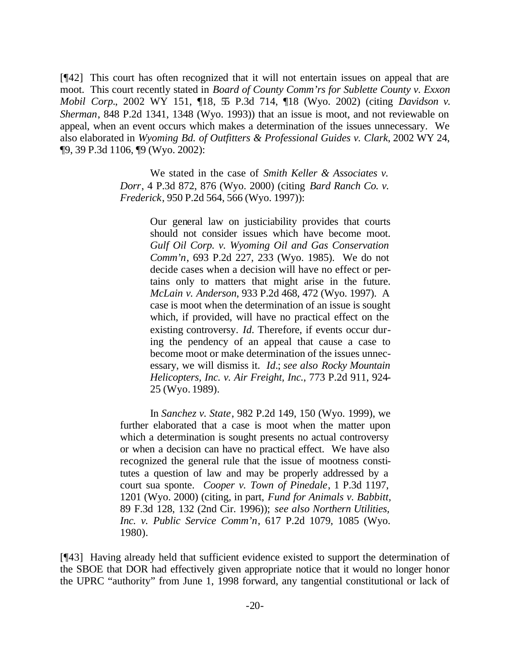[¶42] This court has often recognized that it will not entertain issues on appeal that are moot. This court recently stated in *Board of County Comm'rs for Sublette County v. Exxon Mobil Corp.*, 2002 WY 151, ¶18, 55 P.3d 714, ¶18 (Wyo. 2002) (citing *Davidson v. Sherman*, 848 P.2d 1341, 1348 (Wyo. 1993)) that an issue is moot, and not reviewable on appeal, when an event occurs which makes a determination of the issues unnecessary. We also elaborated in *Wyoming Bd. of Outfitters & Professional Guides v. Clark*, 2002 WY 24, ¶9, 39 P.3d 1106, ¶9 (Wyo. 2002):

> We stated in the case of *Smith Keller & Associates v. Dorr*, 4 P.3d 872, 876 (Wyo. 2000) (citing *Bard Ranch Co. v. Frederick*, 950 P.2d 564, 566 (Wyo. 1997)):

> > Our general law on justiciability provides that courts should not consider issues which have become moot. *Gulf Oil Corp. v. Wyoming Oil and Gas Conservation Comm'n*, 693 P.2d 227, 233 (Wyo. 1985). We do not decide cases when a decision will have no effect or pertains only to matters that might arise in the future. *McLain v. Anderson*, 933 P.2d 468, 472 (Wyo. 1997). A case is moot when the determination of an issue is sought which, if provided, will have no practical effect on the existing controversy. *Id.* Therefore, if events occur during the pendency of an appeal that cause a case to become moot or make determination of the issues unnecessary, we will dismiss it. *Id.*; *see also Rocky Mountain Helicopters, Inc. v. Air Freight, Inc.*, 773 P.2d 911, 924- 25 (Wyo. 1989).

In *Sanchez v. State*, 982 P.2d 149, 150 (Wyo. 1999), we further elaborated that a case is moot when the matter upon which a determination is sought presents no actual controversy or when a decision can have no practical effect. We have also recognized the general rule that the issue of mootness constitutes a question of law and may be properly addressed by a court sua sponte. *Cooper v. Town of Pinedale*, 1 P.3d 1197, 1201 (Wyo. 2000) (citing, in part, *Fund for Animals v. Babbitt*, 89 F.3d 128, 132 (2nd Cir. 1996)); *see also Northern Utilities, Inc. v. Public Service Comm'n*, 617 P.2d 1079, 1085 (Wyo. 1980).

[¶43] Having already held that sufficient evidence existed to support the determination of the SBOE that DOR had effectively given appropriate notice that it would no longer honor the UPRC "authority" from June 1, 1998 forward, any tangential constitutional or lack of